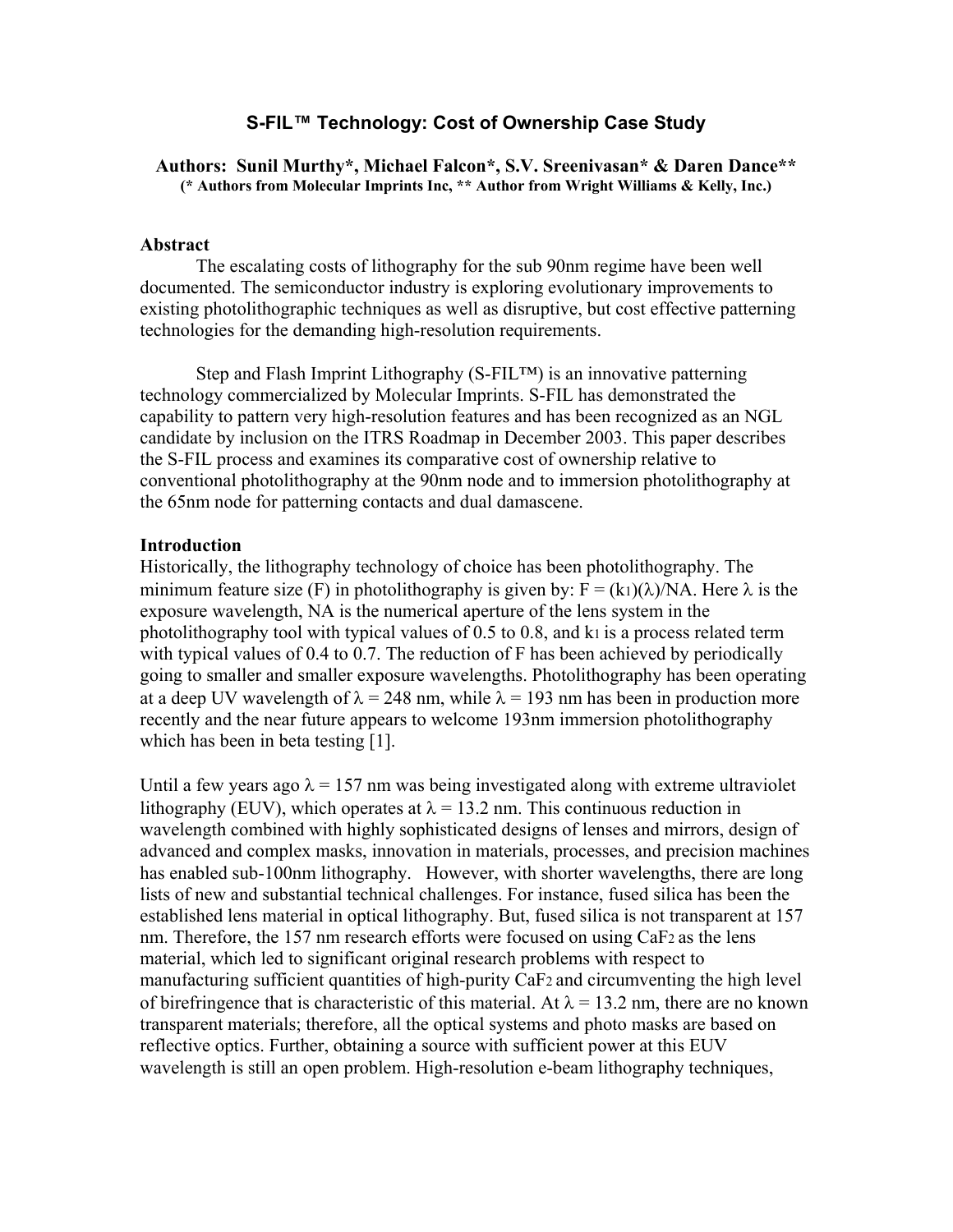## **S-FIL™ Technology: Cost of Ownership Case Study**

#### **Authors: Sunil Murthy\*, Michael Falcon\*, S.V. Sreenivasan\* & Daren Dance\*\* (\* Authors from Molecular Imprints Inc, \*\* Author from Wright Williams & Kelly, Inc.)**

#### **Abstract**

The escalating costs of lithography for the sub 90nm regime have been well documented. The semiconductor industry is exploring evolutionary improvements to existing photolithographic techniques as well as disruptive, but cost effective patterning technologies for the demanding high-resolution requirements.

Step and Flash Imprint Lithography (S-FIL™) is an innovative patterning technology commercialized by Molecular Imprints. S-FIL has demonstrated the capability to pattern very high-resolution features and has been recognized as an NGL candidate by inclusion on the ITRS Roadmap in December 2003. This paper describes the S-FIL process and examines its comparative cost of ownership relative to conventional photolithography at the 90nm node and to immersion photolithography at the 65nm node for patterning contacts and dual damascene.

#### **Introduction**

Historically, the lithography technology of choice has been photolithography. The minimum feature size (F) in photolithography is given by:  $F = (k_1)(\lambda)/NA$ . Here  $\lambda$  is the exposure wavelength, NA is the numerical aperture of the lens system in the photolithography tool with typical values of 0.5 to 0.8, and k1 is a process related term with typical values of 0.4 to 0.7. The reduction of F has been achieved by periodically going to smaller and smaller exposure wavelengths. Photolithography has been operating at a deep UV wavelength of  $\lambda = 248$  nm, while  $\lambda = 193$  nm has been in production more recently and the near future appears to welcome 193nm immersion photolithography which has been in beta testing [1].

Until a few years ago  $\lambda = 157$  nm was being investigated along with extreme ultraviolet lithography (EUV), which operates at  $\lambda = 13.2$  nm. This continuous reduction in wavelength combined with highly sophisticated designs of lenses and mirrors, design of advanced and complex masks, innovation in materials, processes, and precision machines has enabled sub-100nm lithography. However, with shorter wavelengths, there are long lists of new and substantial technical challenges. For instance, fused silica has been the established lens material in optical lithography. But, fused silica is not transparent at 157 nm. Therefore, the 157 nm research efforts were focused on using CaF2 as the lens material, which led to significant original research problems with respect to manufacturing sufficient quantities of high-purity CaF2 and circumventing the high level of birefringence that is characteristic of this material. At  $\lambda = 13.2$  nm, there are no known transparent materials; therefore, all the optical systems and photo masks are based on reflective optics. Further, obtaining a source with sufficient power at this EUV wavelength is still an open problem. High-resolution e-beam lithography techniques,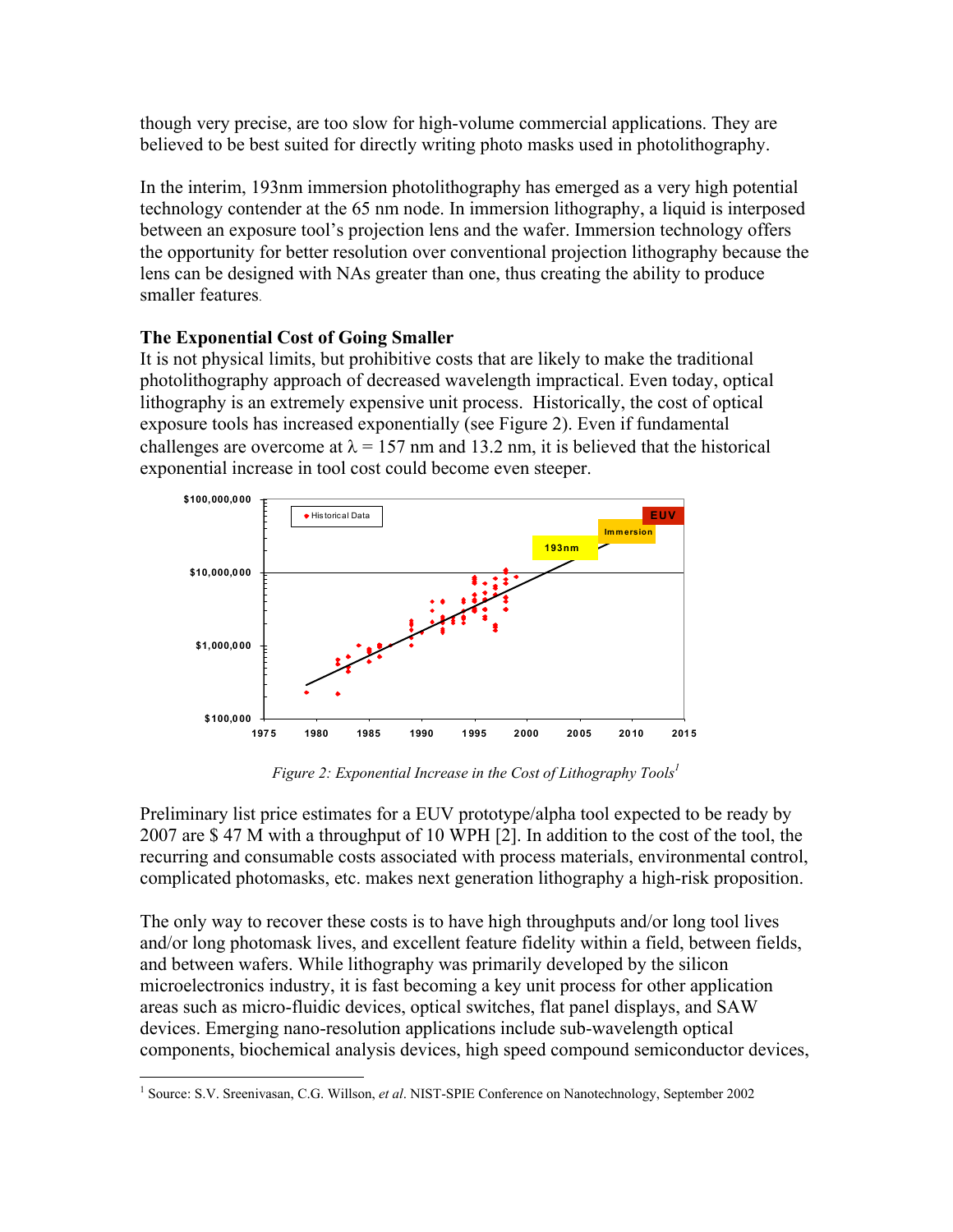though very precise, are too slow for high-volume commercial applications. They are believed to be best suited for directly writing photo masks used in photolithography.

In the interim, 193nm immersion photolithography has emerged as a very high potential technology contender at the 65 nm node. In immersion lithography, a liquid is interposed between an exposure tool's projection lens and the wafer. Immersion technology offers the opportunity for better resolution over conventional projection lithography because the lens can be designed with NAs greater than one, thus creating the ability to produce smaller features.

## **The Exponential Cost of Going Smaller**

It is not physical limits, but prohibitive costs that are likely to make the traditional photolithography approach of decreased wavelength impractical. Even today, optical lithography is an extremely expensive unit process. Historically, the cost of optical exposure tools has increased exponentially (see Figure 2). Even if fundamental challenges are overcome at  $\lambda = 157$  nm and 13.2 nm, it is believed that the historical exponential increase in tool cost could become even steeper.



*Figure 2: Exponential Increase in the Cost of Lithography Tools [1](#page-1-0)*

Preliminary list price estimates for a EUV prototype/alpha tool expected to be ready by 2007 are \$ 47 M with a throughput of 10 WPH [2]. In addition to the cost of the tool, the recurring and consumable costs associated with process materials, environmental control, complicated photomasks, etc. makes next generation lithography a high-risk proposition.

The only way to recover these costs is to have high throughputs and/or long tool lives and/or long photomask lives, and excellent feature fidelity within a field, between fields, and between wafers. While lithography was primarily developed by the silicon microelectronics industry, it is fast becoming a key unit process for other application areas such as micro-fluidic devices, optical switches, flat panel displays, and SAW devices. Emerging nano-resolution applications include sub-wavelength optical components, biochemical analysis devices, high speed compound semiconductor devices,

<span id="page-1-0"></span><sup>1</sup> <sup>1</sup> Source: S.V. Sreenivasan, C.G. Willson, *et al.* NIST-SPIE Conference on Nanotechnology, September 2002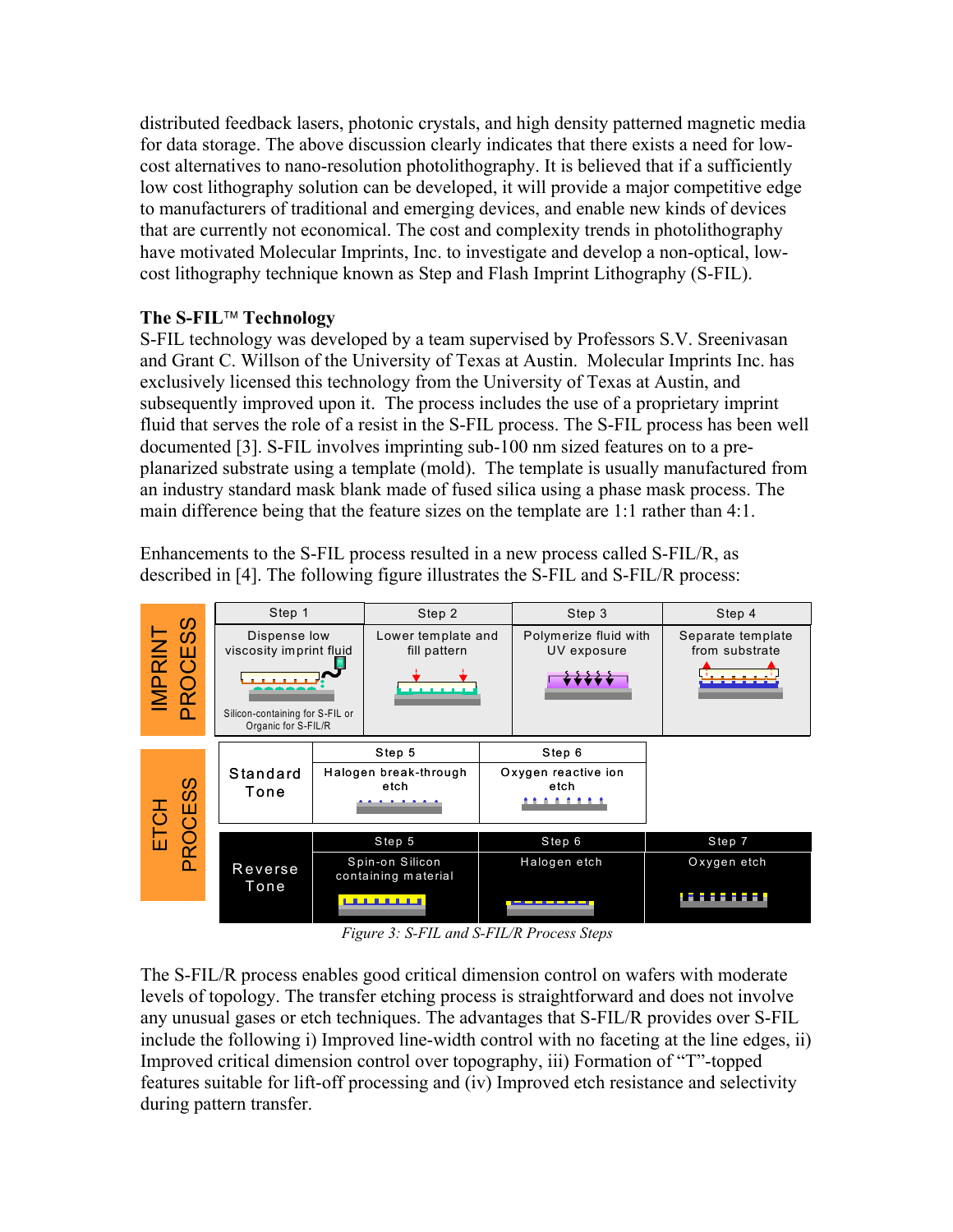distributed feedback lasers, photonic crystals, and high density patterned magnetic media for data storage. The above discussion clearly indicates that there exists a need for lowcost alternatives to nano-resolution photolithography. It is believed that if a sufficiently low cost lithography solution can be developed, it will provide a major competitive edge to manufacturers of traditional and emerging devices, and enable new kinds of devices that are currently not economical. The cost and complexity trends in photolithography have motivated Molecular Imprints, Inc. to investigate and develop a non-optical, lowcost lithography technique known as Step and Flash Imprint Lithography (S-FIL).

# **The S-FIL<sup>™</sup> Technology**

S-FIL technology was developed by a team supervised by Professors S.V. Sreenivasan and Grant C. Willson of the University of Texas at Austin. Molecular Imprints Inc. has exclusively licensed this technology from the University of Texas at Austin, and subsequently improved upon it. The process includes the use of a proprietary imprint fluid that serves the role of a resist in the S-FIL process. The S-FIL process has been well documented [3]. S-FIL involves imprinting sub-100 nm sized features on to a preplanarized substrate using a template (mold). The template is usually manufactured from an industry standard mask blank made of fused silica using a phase mask process. The main difference being that the feature sizes on the template are 1:1 rather than 4:1.

Enhancements to the S-FIL process resulted in a new process called S-FIL/R, as described in [4]. The following figure illustrates the S-FIL and S-FIL/R process:



*Figure 3: S-FIL and S-FIL/R Process Steps* 

The S-FIL/R process enables good critical dimension control on wafers with moderate levels of topology. The transfer etching process is straightforward and does not involve any unusual gases or etch techniques. The advantages that S-FIL/R provides over S-FIL include the following i) Improved line-width control with no faceting at the line edges, ii) Improved critical dimension control over topography, iii) Formation of "T"-topped features suitable for lift-off processing and (iv) Improved etch resistance and selectivity during pattern transfer.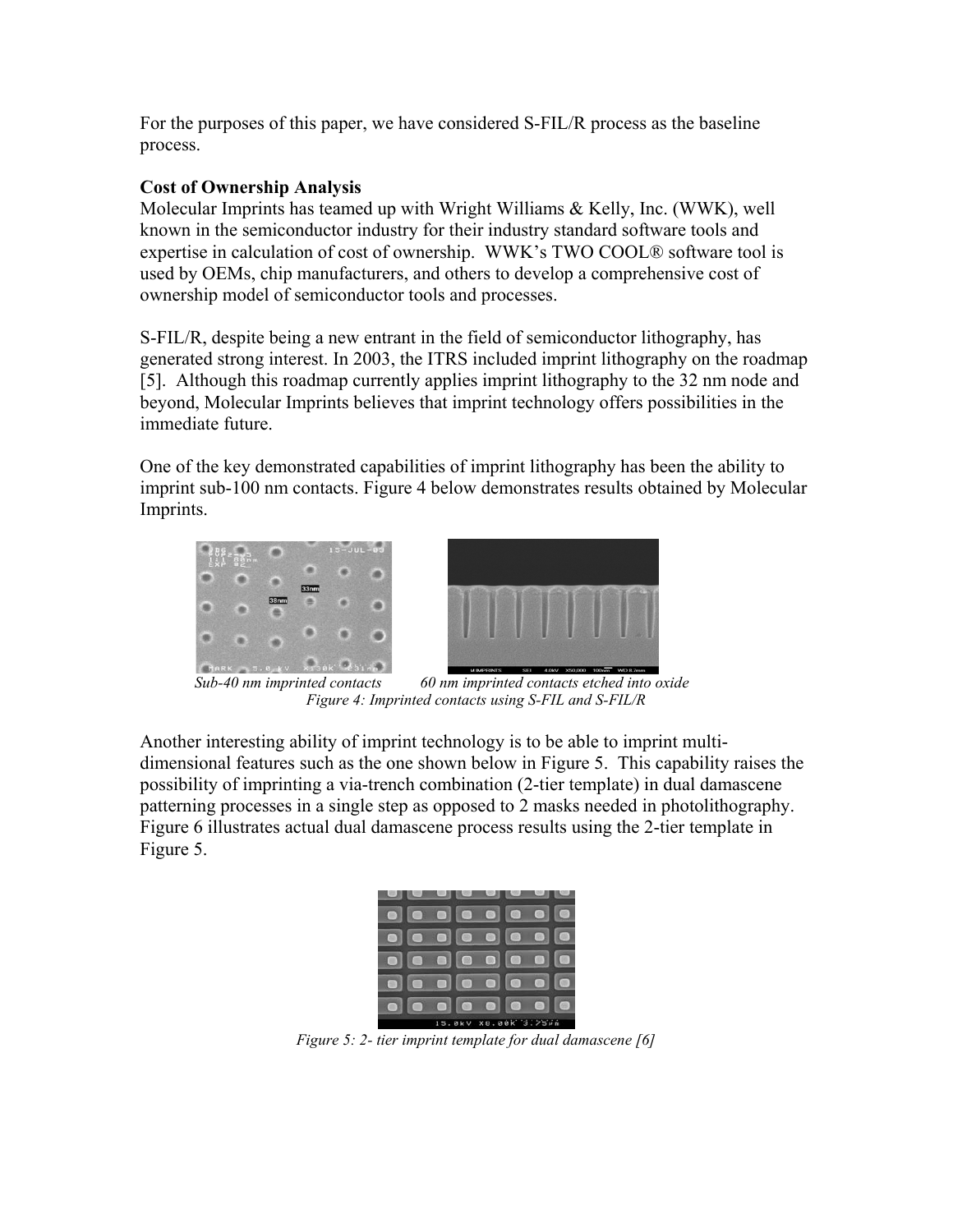For the purposes of this paper, we have considered S-FIL/R process as the baseline process.

## **Cost of Ownership Analysis**

Molecular Imprints has teamed up with Wright Williams & Kelly, Inc. (WWK), well known in the semiconductor industry for their industry standard software tools and expertise in calculation of cost of ownership. WWK's TWO COOL® software tool is used by OEMs, chip manufacturers, and others to develop a comprehensive cost of ownership model of semiconductor tools and processes.

S-FIL/R, despite being a new entrant in the field of semiconductor lithography, has generated strong interest. In 2003, the ITRS included imprint lithography on the roadmap [5]. Although this roadmap currently applies imprint lithography to the 32 nm node and beyond, Molecular Imprints believes that imprint technology offers possibilities in the immediate future.

One of the key demonstrated capabilities of imprint lithography has been the ability to imprint sub-100 nm contacts. Figure 4 below demonstrates results obtained by Molecular Imprints.





 *Sub-40 nm imprinted contacts 60 nm imprinted contacts etched into oxide Figure 4: Imprinted contacts using S-FIL and S-FIL/R* 

Another interesting ability of imprint technology is to be able to imprint multidimensional features such as the one shown below in Figure 5. This capability raises the possibility of imprinting a via-trench combination (2-tier template) in dual damascene patterning processes in a single step as opposed to 2 masks needed in photolithography. Figure 6 illustrates actual dual damascene process results using the 2-tier template in Figure 5.



*Figure 5: 2- tier imprint template for dual damascene [6]*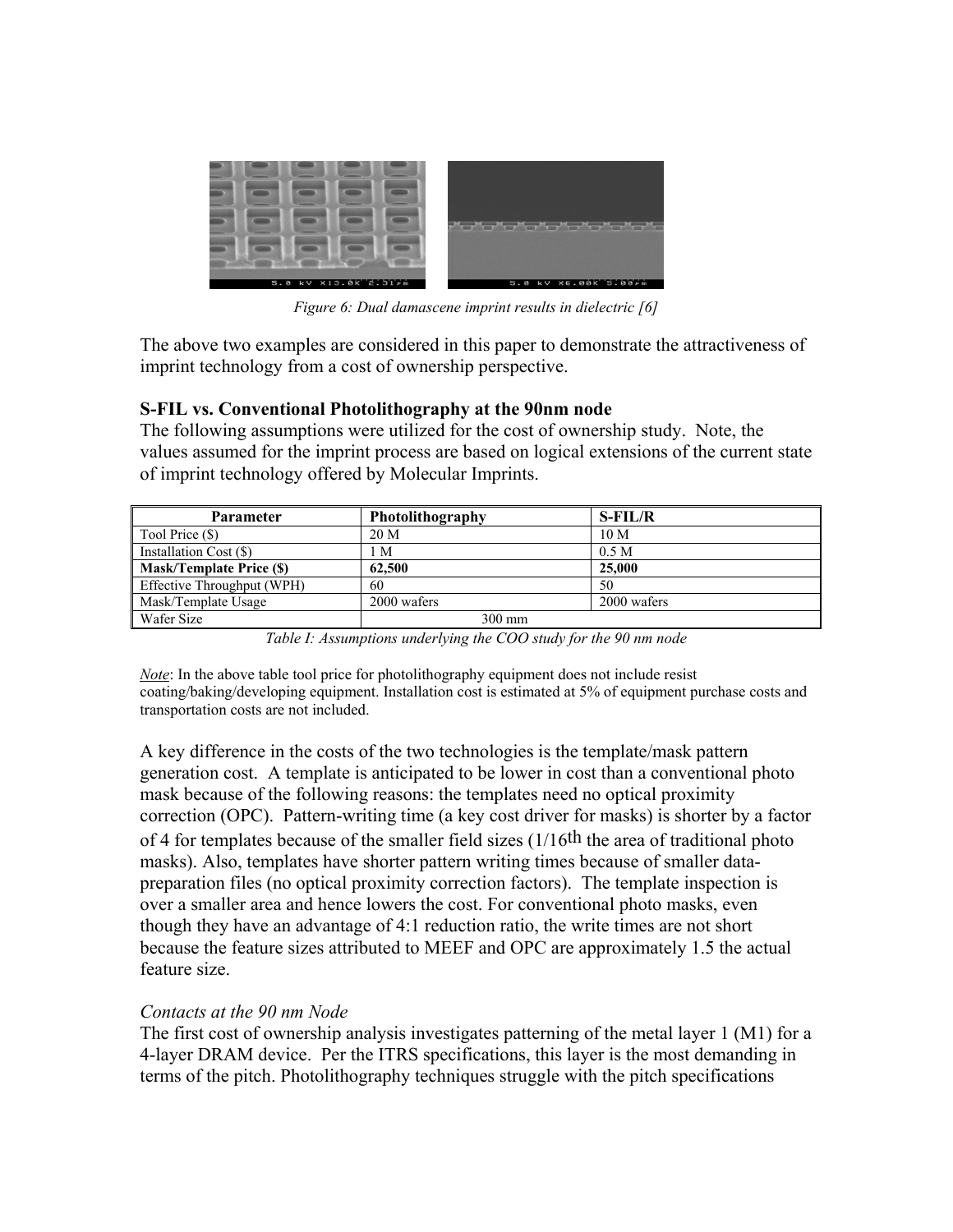

*Figure 6: Dual damascene imprint results in dielectric [6]*

The above two examples are considered in this paper to demonstrate the attractiveness of imprint technology from a cost of ownership perspective.

#### **S-FIL vs. Conventional Photolithography at the 90nm node**

The following assumptions were utilized for the cost of ownership study. Note, the values assumed for the imprint process are based on logical extensions of the current state of imprint technology offered by Molecular Imprints.

| Parameter                       | Photolithography | $S$ -FIL/R      |
|---------------------------------|------------------|-----------------|
| Tool Price (\$)                 | 20 M             | 10 <sub>M</sub> |
| Installation Cost $(\$)$        | M                | 0.5 M           |
| <b>Mask/Template Price (\$)</b> | 62,500           | 25,000          |
| Effective Throughput (WPH)      | 60               | 50              |
| Mask/Template Usage             | 2000 wafers      | 2000 wafers     |
| Wafer Size                      | $300 \text{ mm}$ |                 |

*Table I: Assumptions underlying the COO study for the 90 nm node* 

*Note*: In the above table tool price for photolithography equipment does not include resist coating/baking/developing equipment. Installation cost is estimated at 5% of equipment purchase costs and transportation costs are not included.

A key difference in the costs of the two technologies is the template/mask pattern generation cost. A template is anticipated to be lower in cost than a conventional photo mask because of the following reasons: the templates need no optical proximity correction (OPC). Pattern-writing time (a key cost driver for masks) is shorter by a factor of 4 for templates because of the smaller field sizes (1/16th the area of traditional photo masks). Also, templates have shorter pattern writing times because of smaller datapreparation files (no optical proximity correction factors). The template inspection is over a smaller area and hence lowers the cost. For conventional photo masks, even though they have an advantage of 4:1 reduction ratio, the write times are not short because the feature sizes attributed to MEEF and OPC are approximately 1.5 the actual feature size.

## *Contacts at the 90 nm Node*

The first cost of ownership analysis investigates patterning of the metal layer 1 (M1) for a 4-layer DRAM device. Per the ITRS specifications, this layer is the most demanding in terms of the pitch. Photolithography techniques struggle with the pitch specifications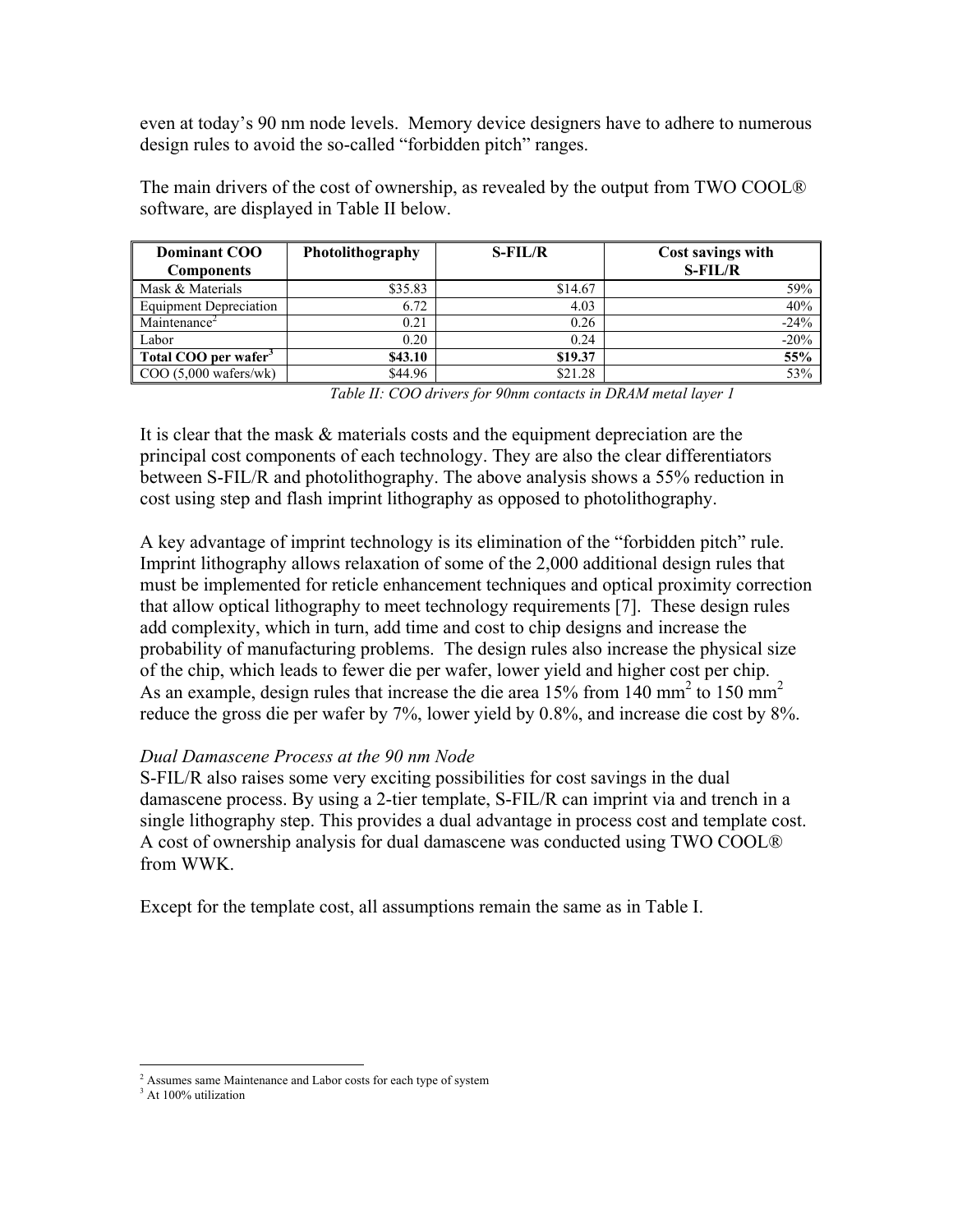even at today's 90 nm node levels. Memory device designers have to adhere to numerous design rules to avoid the so-called "forbidden pitch" ranges.

The main drivers of the cost of ownership, as revealed by the output from TWO COOL® software, are displayed in Table II below.

| Dominant COO                               | Photolithography | $S$ -FIL/R | Cost savings with |
|--------------------------------------------|------------------|------------|-------------------|
| <b>Components</b>                          |                  |            | <b>S-FIL/R</b>    |
| Mask & Materials                           | \$35.83          | \$14.67    | 59%               |
| <b>Equipment Depreciation</b>              | 6.72             | 4.03       | 40%               |
| Maintenance <sup><math>\angle</math></sup> | 0.21             | 0.26       | $-24%$            |
| Labor                                      | 0.20             | 0.24       | $-20%$            |
| Total COO per wafer <sup>3</sup>           | \$43.10          | \$19.37    | 55%               |
| $\sim$ COO (5,000 wafers/wk)               | \$44.96          | \$21.28    | 53%               |

*Table II: COO drivers for 90nm contacts in DRAM metal layer 1*

It is clear that the mask & materials costs and the equipment depreciation are the principal cost components of each technology. They are also the clear differentiators between S-FIL/R and photolithography. The above analysis shows a 55% reduction in cost using step and flash imprint lithography as opposed to photolithography.

A key advantage of imprint technology is its elimination of the "forbidden pitch" rule. Imprint lithography allows relaxation of some of the 2,000 additional design rules that must be implemented for reticle enhancement techniques and optical proximity correction that allow optical lithography to meet technology requirements [7]. These design rules add complexity, which in turn, add time and cost to chip designs and increase the probability of manufacturing problems. The design rules also increase the physical size of the chip, which leads to fewer die per wafer, lower yield and higher cost per chip. As an example, design rules that increase the die area  $15\%$  from  $140$  mm<sup>2</sup> to  $150$  mm<sup>2</sup> reduce the gross die per wafer by 7%, lower yield by 0.8%, and increase die cost by 8%.

#### *Dual Damascene Process at the 90 nm Node*

S-FIL/R also raises some very exciting possibilities for cost savings in the dual damascene process. By using a 2-tier template, S-FIL/R can imprint via and trench in a single lithography step. This provides a dual advantage in process cost and template cost. A cost of ownership analysis for dual damascene was conducted using TWO COOL® from WWK.

Except for the template cost, all assumptions remain the same as in Table I.

 2 Assumes same Maintenance and Labor costs for each type of system

<span id="page-5-1"></span><span id="page-5-0"></span><sup>&</sup>lt;sup>3</sup> At 100% utilization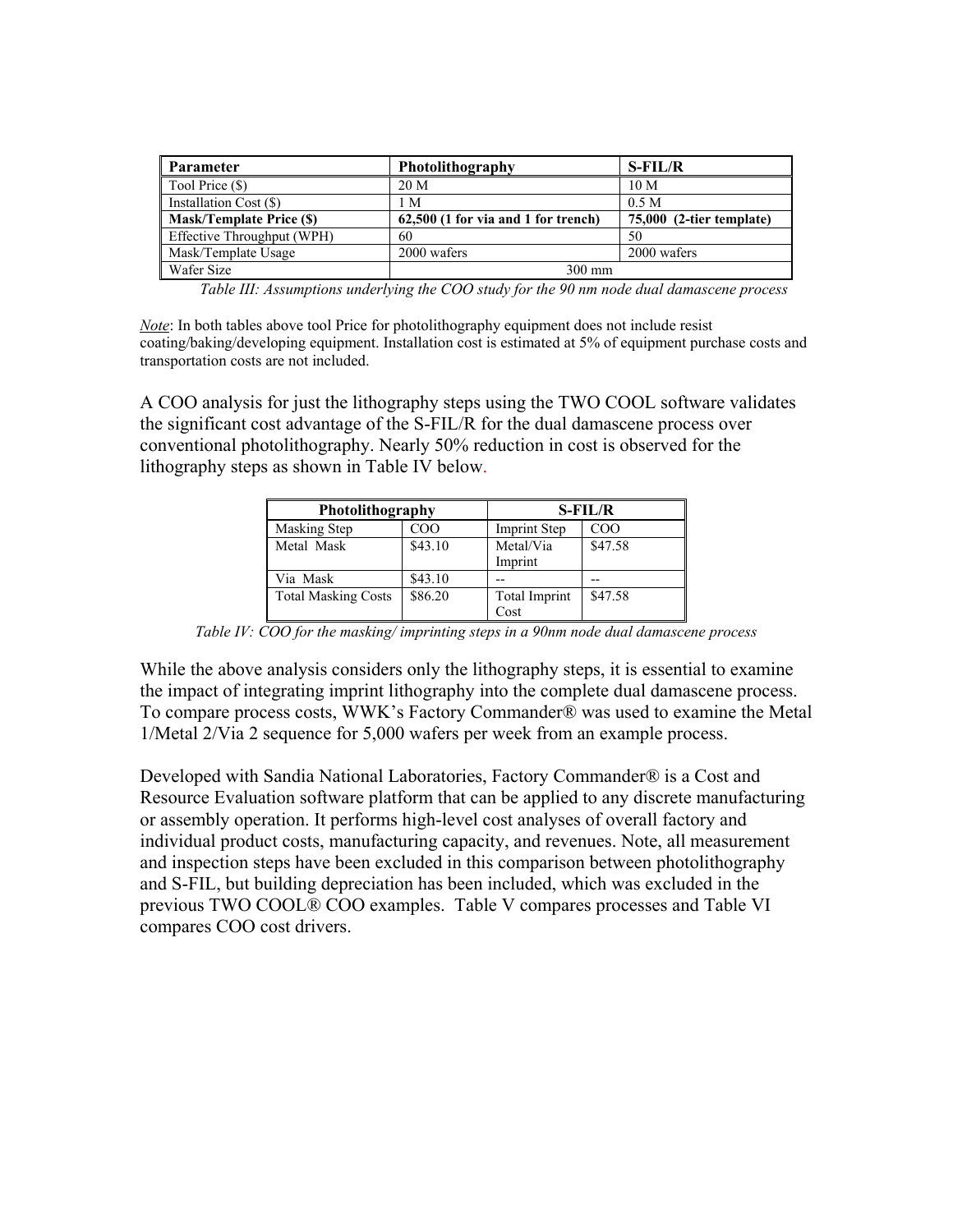| <b>Parameter</b>               | Photolithography                    | $S$ -FIL/R               |  |
|--------------------------------|-------------------------------------|--------------------------|--|
| Tool Price (\$)                | 20 M                                | 10 <sub>M</sub>          |  |
| Installation Cost (\$)         | M                                   | 0.5 M                    |  |
| <b>Mask/Template Price (S)</b> | 62,500 (1 for via and 1 for trench) | 75,000 (2-tier template) |  |
| Effective Throughput (WPH)     | 60                                  | 50                       |  |
| Mask/Template Usage            | 2000 wafers                         | 2000 wafers              |  |
| Wafer Size                     | $300 \text{ mm}$                    |                          |  |

 *Table III: Assumptions underlying the COO study for the 90 nm node dual damascene process* 

*Note*: In both tables above tool Price for photolithography equipment does not include resist coating/baking/developing equipment. Installation cost is estimated at 5% of equipment purchase costs and transportation costs are not included.

A COO analysis for just the lithography steps using the TWO COOL software validates the significant cost advantage of the S-FIL/R for the dual damascene process over conventional photolithography. Nearly 50% reduction in cost is observed for the lithography steps as shown in Table IV below.

| Photolithography           |         | $S$ -FIL/R            |         |
|----------------------------|---------|-----------------------|---------|
| Masking Step               | COO     | <b>Imprint Step</b>   | COO     |
| Metal Mask                 | \$43.10 | Metal/Via<br>Imprint  | \$47.58 |
| Via Mask                   | \$43.10 |                       |         |
| <b>Total Masking Costs</b> | \$86.20 | Total Imprint<br>Cost | \$47.58 |

*Table IV: COO for the masking/ imprinting steps in a 90nm node dual damascene process*

While the above analysis considers only the lithography steps, it is essential to examine the impact of integrating imprint lithography into the complete dual damascene process. To compare process costs, WWK's Factory Commander® was used to examine the Metal 1/Metal 2/Via 2 sequence for 5,000 wafers per week from an example process.

Developed with Sandia National Laboratories, Factory Commander® is a Cost and Resource Evaluation software platform that can be applied to any discrete manufacturing or assembly operation. It performs high-level cost analyses of overall factory and individual product costs, manufacturing capacity, and revenues. Note, all measurement and inspection steps have been excluded in this comparison between photolithography and S-FIL, but building depreciation has been included, which was excluded in the previous TWO COOL® COO examples. Table V compares processes and Table VI compares COO cost drivers.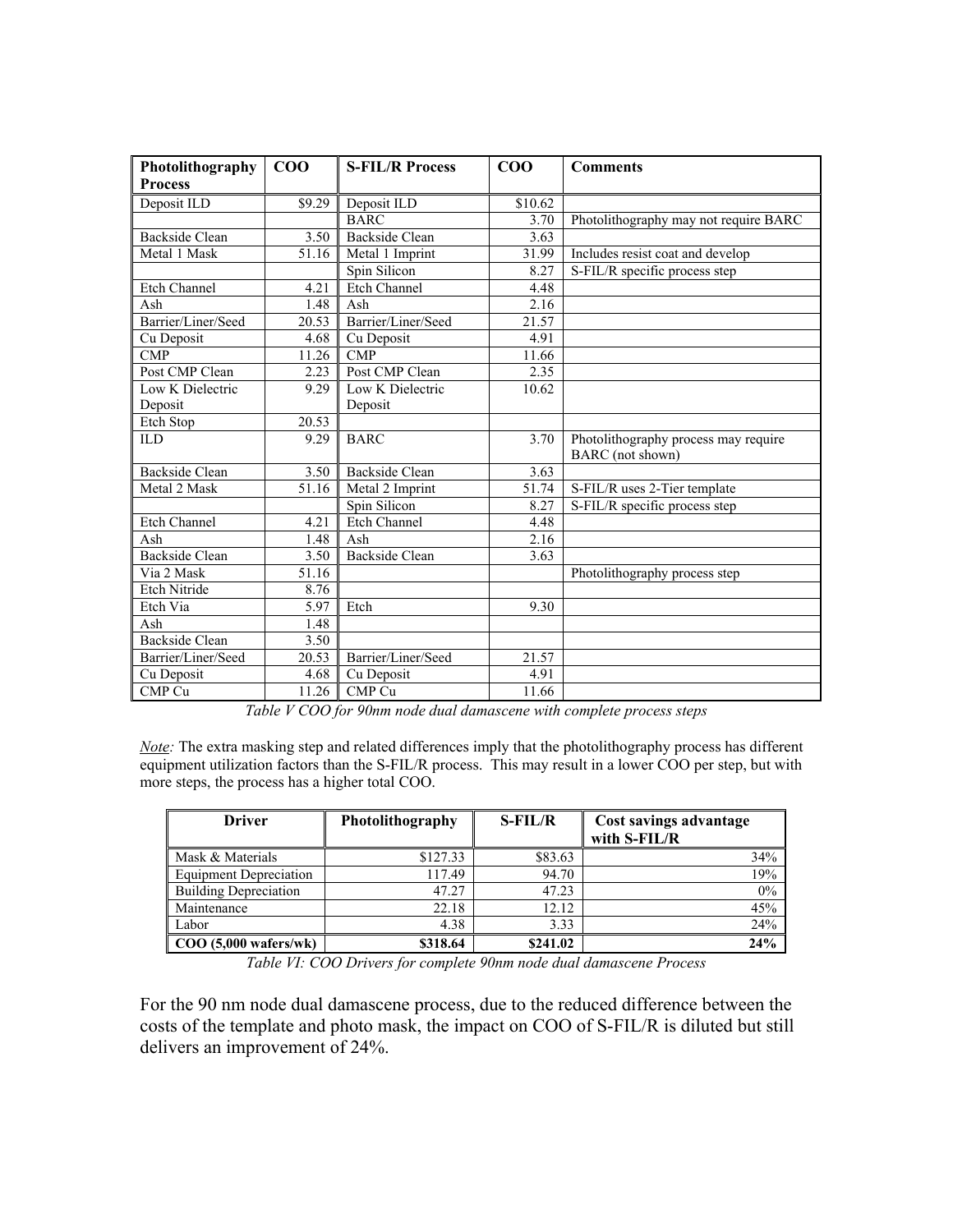| Photolithography      | $\bf COO$ | <b>S-FIL/R Process</b> | $\bf COO$ | <b>Comments</b>                       |
|-----------------------|-----------|------------------------|-----------|---------------------------------------|
| <b>Process</b>        |           |                        |           |                                       |
| Deposit ILD           | \$9.29    | Deposit ILD            | \$10.62   |                                       |
|                       |           | <b>BARC</b>            | 3.70      | Photolithography may not require BARC |
| <b>Backside Clean</b> | 3.50      | Backside Clean         | 3.63      |                                       |
| Metal 1 Mask          | 51.16     | Metal 1 Imprint        | 31.99     | Includes resist coat and develop      |
|                       |           | Spin Silicon           | 8.27      | S-FIL/R specific process step         |
| <b>Etch Channel</b>   | 4.21      | <b>Etch Channel</b>    | 4.48      |                                       |
| Ash                   | 1.48      | Ash                    | 2.16      |                                       |
| Barrier/Liner/Seed    | 20.53     | Barrier/Liner/Seed     | 21.57     |                                       |
| Cu Deposit            | 4.68      | Cu Deposit             | 4.91      |                                       |
| CMP                   | 11.26     | CMP                    | 11.66     |                                       |
| Post CMP Clean        | 2.23      | Post CMP Clean         | 2.35      |                                       |
| Low K Dielectric      | 9.29      | Low K Dielectric       | 10.62     |                                       |
| Deposit               |           | Deposit                |           |                                       |
| Etch Stop             | 20.53     |                        |           |                                       |
| <b>ILD</b>            | 9.29      | <b>BARC</b>            | 3.70      | Photolithography process may require  |
|                       |           |                        |           | BARC (not shown)                      |
| <b>Backside Clean</b> | 3.50      | <b>Backside Clean</b>  | 3.63      |                                       |
| Metal 2 Mask          | 51.16     | Metal 2 Imprint        | 51.74     | S-FIL/R uses 2-Tier template          |
|                       |           | Spin Silicon           | 8.27      | S-FIL/R specific process step         |
| Etch Channel          | 4.21      | Etch Channel           | 4.48      |                                       |
| Ash                   | 1.48      | Ash                    | 2.16      |                                       |
| <b>Backside Clean</b> | 3.50      | <b>Backside Clean</b>  | 3.63      |                                       |
| Via 2 Mask            | 51.16     |                        |           | Photolithography process step         |
| Etch Nitride          | 8.76      |                        |           |                                       |
| Etch Via              | 5.97      | Etch                   | 9.30      |                                       |
| Ash                   | 1.48      |                        |           |                                       |
| <b>Backside Clean</b> | 3.50      |                        |           |                                       |
| Barrier/Liner/Seed    | 20.53     | Barrier/Liner/Seed     | 21.57     |                                       |
| Cu Deposit            | 4.68      | Cu Deposit             | 4.91      |                                       |
| CMP Cu                | 11.26     | CMP Cu                 | 11.66     |                                       |

*Table V COO for 90nm node dual damascene with complete process steps* 

*Note:* The extra masking step and related differences imply that the photolithography process has different equipment utilization factors than the S-FIL/R process. This may result in a lower COO per step, but with more steps, the process has a higher total COO.

| <b>Driver</b>                 | Photolithography | $S$ -FIL/R | Cost savings advantage<br>with S-FIL/R |
|-------------------------------|------------------|------------|----------------------------------------|
| Mask & Materials              | \$127.33         | \$83.63    | 34%                                    |
| <b>Equipment Depreciation</b> | 117.49           | 94.70      | 19%                                    |
| <b>Building Depreciation</b>  | 47.27            | 47.23      | $0\%$                                  |
| Maintenance                   | 22.18            | 12.12      | 45%                                    |
| Labor                         | 4.38             | 3.33       | 24%                                    |
| $COO$ (5,000 wafers/wk)       | \$318.64         | \$241.02   | 24%                                    |

*Table VI: COO Drivers for complete 90nm node dual damascene Process* 

For the 90 nm node dual damascene process, due to the reduced difference between the costs of the template and photo mask, the impact on COO of S-FIL/R is diluted but still delivers an improvement of 24%.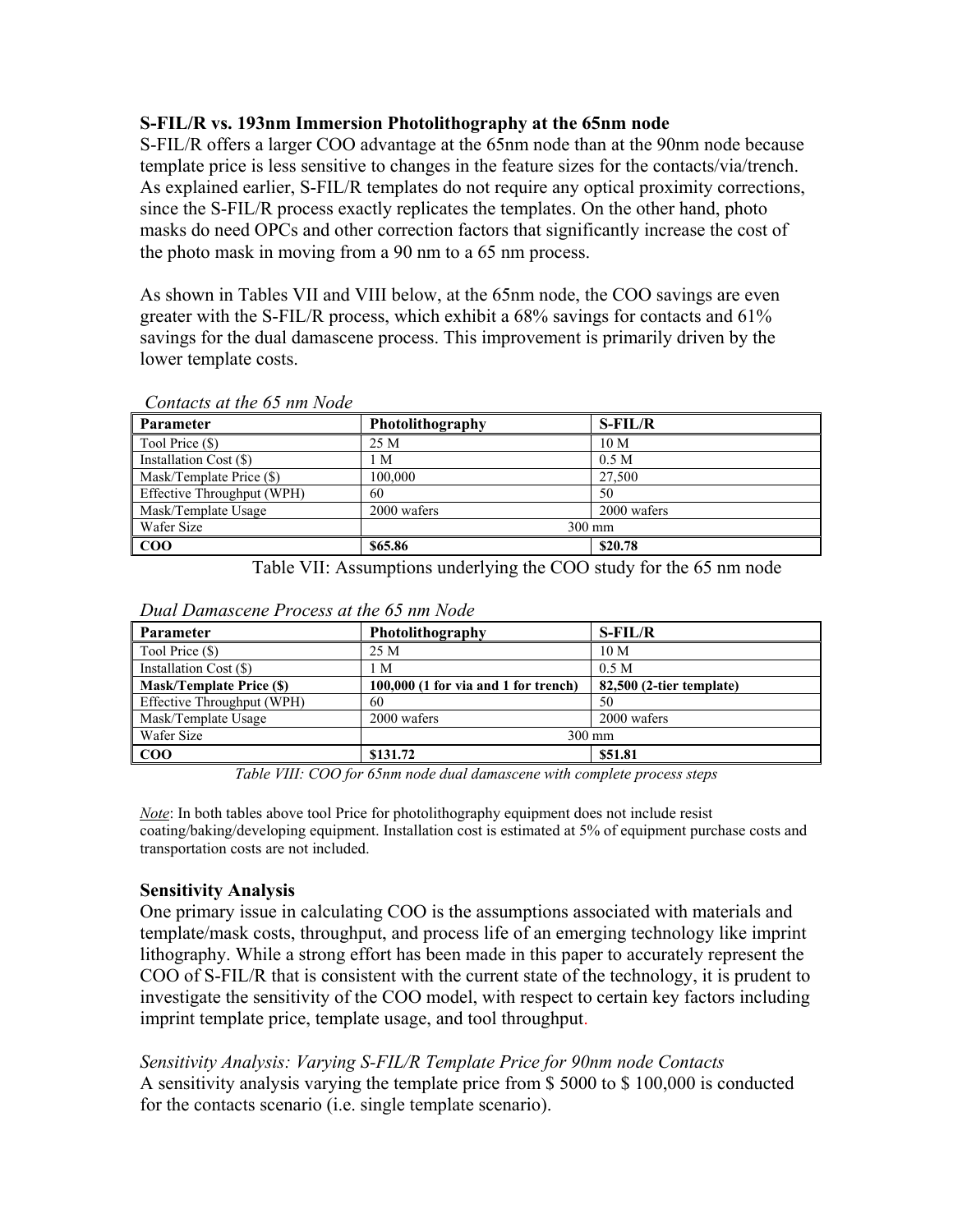#### **S-FIL/R vs. 193nm Immersion Photolithography at the 65nm node**

S-FIL/R offers a larger COO advantage at the 65nm node than at the 90nm node because template price is less sensitive to changes in the feature sizes for the contacts/via/trench. As explained earlier, S-FIL/R templates do not require any optical proximity corrections, since the S-FIL/R process exactly replicates the templates. On the other hand, photo masks do need OPCs and other correction factors that significantly increase the cost of the photo mask in moving from a 90 nm to a 65 nm process.

As shown in Tables VII and VIII below, at the 65nm node, the COO savings are even greater with the S-FIL/R process, which exhibit a 68% savings for contacts and 61% savings for the dual damascene process. This improvement is primarily driven by the lower template costs.

| Parameter                  | Photolithography | $S$ -FIL/R      |  |
|----------------------------|------------------|-----------------|--|
| Tool Price (\$)            | 25 M             | 10 <sub>M</sub> |  |
| Installation Cost (\$)     | 1 M              | 0.5 M           |  |
| Mask/Template Price (\$)   | 100,000          | 27,500          |  |
| Effective Throughput (WPH) | 60               | 50              |  |
| Mask/Template Usage        | 2000 wafers      | 2000 wafers     |  |
| <b>Wafer Size</b>          | $300 \text{ mm}$ |                 |  |
| $\vert$ COO                | \$65.86          | \$20.78         |  |

#### *Contacts at the 65 nm Node*

Table VII: Assumptions underlying the COO study for the 65 nm node

| Dual Damascene Process at the 65 nm Node |
|------------------------------------------|
|------------------------------------------|

| Parameter                       | $S$ -FIL/R<br>Photolithography       |                            |
|---------------------------------|--------------------------------------|----------------------------|
| Tool Price (\$)                 | 25 M                                 | 10 <sub>M</sub>            |
| Installation Cost (\$)          | 1 M                                  | 0.5 M                      |
| <b>Mask/Template Price (\$)</b> | 100,000 (1 for via and 1 for trench) | $82,500$ (2-tier template) |
| Effective Throughput (WPH)      | 60                                   | 50                         |
| Mask/Template Usage             | 2000 wafers                          | 2000 wafers                |
| Wafer Size                      | $300 \text{ mm}$                     |                            |
| $\bf{COO}$                      | \$131.72                             | \$51.81                    |

*Table VIII: COO for 65nm node dual damascene with complete process steps* 

*Note*: In both tables above tool Price for photolithography equipment does not include resist coating/baking/developing equipment. Installation cost is estimated at 5% of equipment purchase costs and transportation costs are not included.

#### **Sensitivity Analysis**

One primary issue in calculating COO is the assumptions associated with materials and template/mask costs, throughput, and process life of an emerging technology like imprint lithography. While a strong effort has been made in this paper to accurately represent the COO of S-FIL/R that is consistent with the current state of the technology, it is prudent to investigate the sensitivity of the COO model, with respect to certain key factors including imprint template price, template usage, and tool throughput.

*Sensitivity Analysis: Varying S-FIL/R Template Price for 90nm node Contacts*  A sensitivity analysis varying the template price from \$ 5000 to \$ 100,000 is conducted for the contacts scenario (i.e. single template scenario).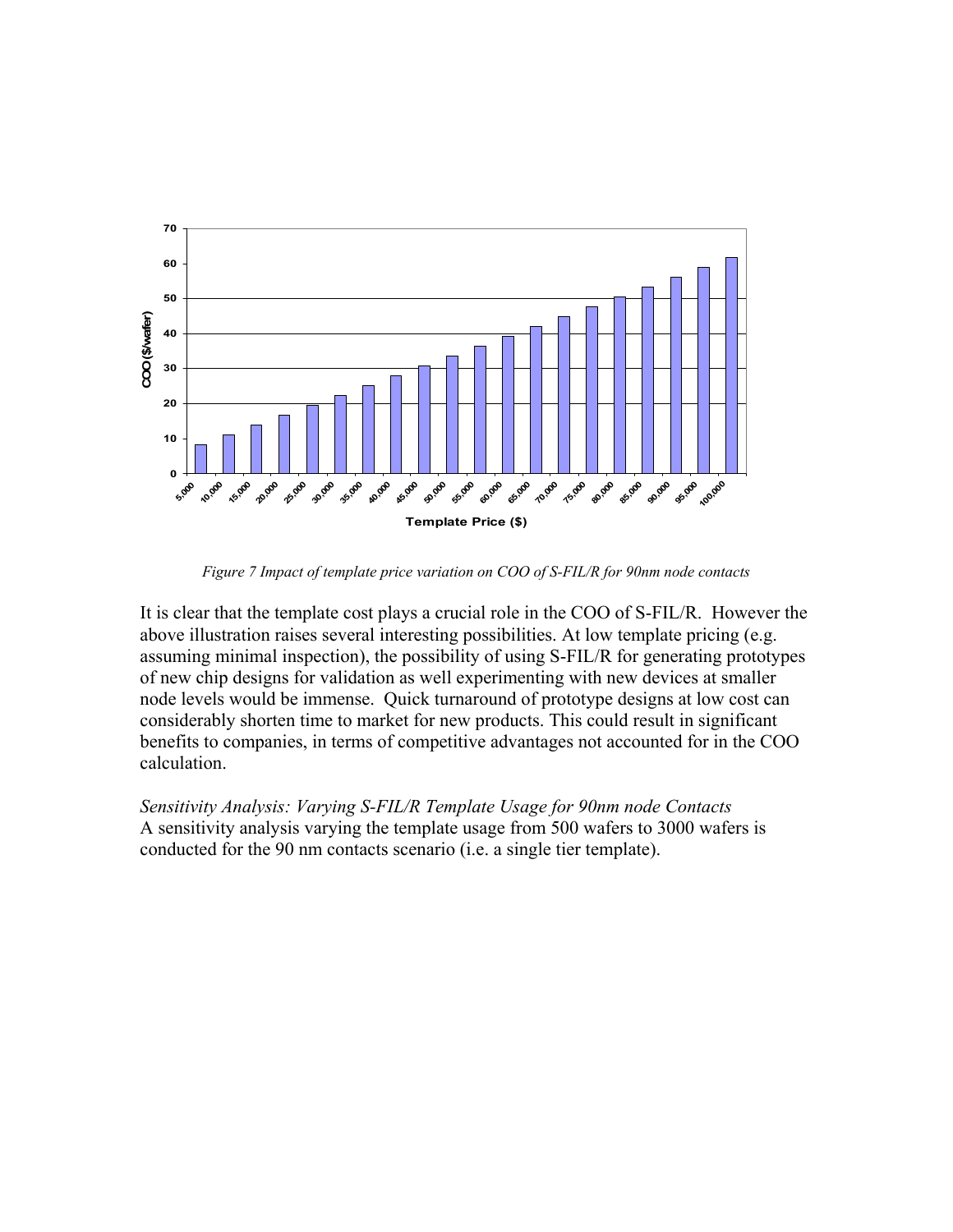

*Figure 7 Impact of template price variation on COO of S-FIL/R for 90nm node contacts*

It is clear that the template cost plays a crucial role in the COO of S-FIL/R. However the above illustration raises several interesting possibilities. At low template pricing (e.g. assuming minimal inspection), the possibility of using S-FIL/R for generating prototypes of new chip designs for validation as well experimenting with new devices at smaller node levels would be immense. Quick turnaround of prototype designs at low cost can considerably shorten time to market for new products. This could result in significant benefits to companies, in terms of competitive advantages not accounted for in the COO calculation.

*Sensitivity Analysis: Varying S-FIL/R Template Usage for 90nm node Contacts*  A sensitivity analysis varying the template usage from 500 wafers to 3000 wafers is conducted for the 90 nm contacts scenario (i.e. a single tier template).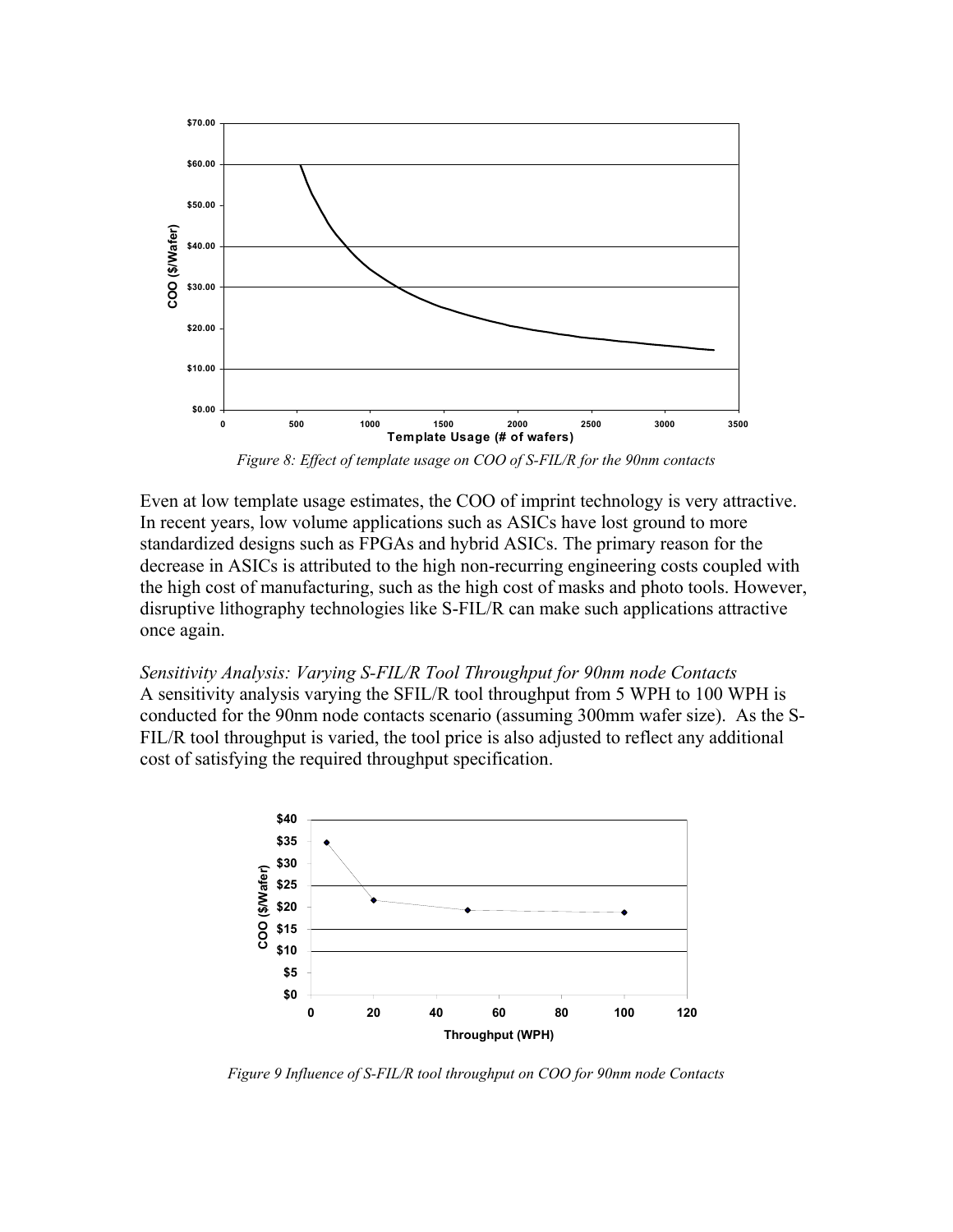

*Figure 8: Effect of template usage on COO of S-FIL/R for the 90nm contacts*

Even at low template usage estimates, the COO of imprint technology is very attractive. In recent years, low volume applications such as ASICs have lost ground to more standardized designs such as FPGAs and hybrid ASICs. The primary reason for the decrease in ASICs is attributed to the high non-recurring engineering costs coupled with the high cost of manufacturing, such as the high cost of masks and photo tools. However, disruptive lithography technologies like S-FIL/R can make such applications attractive once again.

*Sensitivity Analysis: Varying S-FIL/R Tool Throughput for 90nm node Contacts*  A sensitivity analysis varying the SFIL/R tool throughput from 5 WPH to 100 WPH is conducted for the 90nm node contacts scenario (assuming 300mm wafer size). As the S-FIL/R tool throughput is varied, the tool price is also adjusted to reflect any additional cost of satisfying the required throughput specification.



*Figure 9 Influence of S-FIL/R tool throughput on COO for 90nm node Contacts*